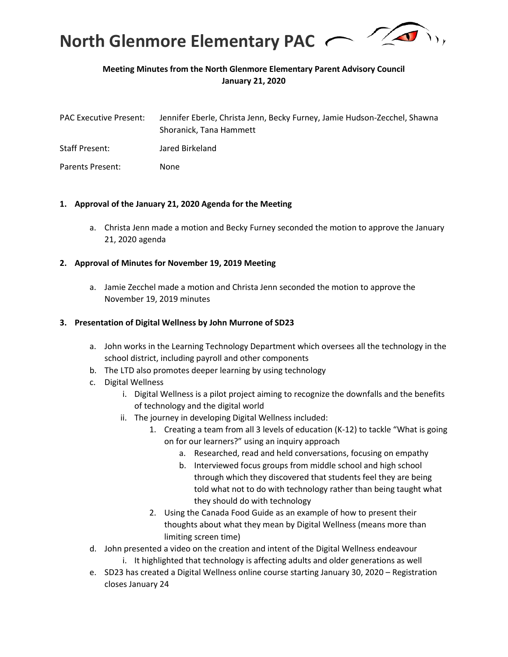

## **Meeting Minutes from the North Glenmore Elementary Parent Advisory Council January 21, 2020**

| <b>PAC Executive Present:</b> | Jennifer Eberle, Christa Jenn, Becky Furney, Jamie Hudson-Zecchel, Shawna |
|-------------------------------|---------------------------------------------------------------------------|
|                               | Shoranick. Tana Hammett                                                   |
| Staff Present:                | Jared Birkeland                                                           |

Parents Present: None

### **1. Approval of the January 21, 2020 Agenda for the Meeting**

a. Christa Jenn made a motion and Becky Furney seconded the motion to approve the January 21, 2020 agenda

### **2. Approval of Minutes for November 19, 2019 Meeting**

a. Jamie Zecchel made a motion and Christa Jenn seconded the motion to approve the November 19, 2019 minutes

#### **3. Presentation of Digital Wellness by John Murrone of SD23**

- a. John works in the Learning Technology Department which oversees all the technology in the school district, including payroll and other components
- b. The LTD also promotes deeper learning by using technology
- c. Digital Wellness
	- i. Digital Wellness is a pilot project aiming to recognize the downfalls and the benefits of technology and the digital world
	- ii. The journey in developing Digital Wellness included:
		- 1. Creating a team from all 3 levels of education (K-12) to tackle "What is going on for our learners?" using an inquiry approach
			- a. Researched, read and held conversations, focusing on empathy
			- b. Interviewed focus groups from middle school and high school through which they discovered that students feel they are being told what not to do with technology rather than being taught what they should do with technology
		- 2. Using the Canada Food Guide as an example of how to present their thoughts about what they mean by Digital Wellness (means more than limiting screen time)
- d. John presented a video on the creation and intent of the Digital Wellness endeavour i. It highlighted that technology is affecting adults and older generations as well
- e. SD23 has created a Digital Wellness online course starting January 30, 2020 Registration closes January 24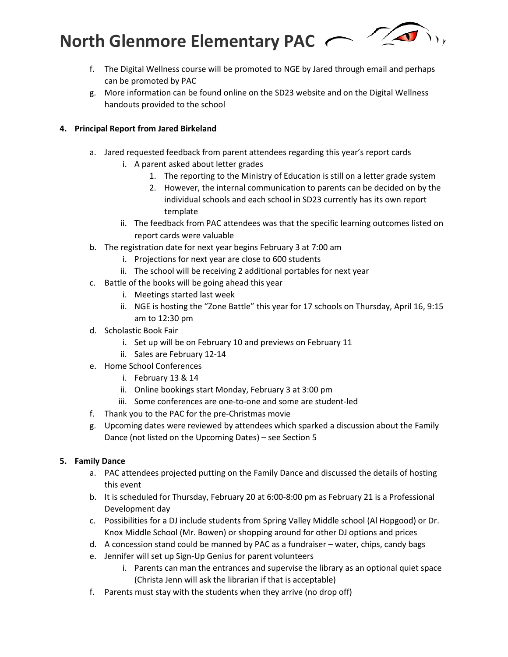**North Glenmore Elementary PAC** 



- f. The Digital Wellness course will be promoted to NGE by Jared through email and perhaps can be promoted by PAC
- g. More information can be found online on the SD23 website and on the Digital Wellness handouts provided to the school

### **4. Principal Report from Jared Birkeland**

- a. Jared requested feedback from parent attendees regarding this year's report cards
	- i. A parent asked about letter grades
		- 1. The reporting to the Ministry of Education is still on a letter grade system
		- 2. However, the internal communication to parents can be decided on by the individual schools and each school in SD23 currently has its own report template
	- ii. The feedback from PAC attendees was that the specific learning outcomes listed on report cards were valuable
- b. The registration date for next year begins February 3 at 7:00 am
	- i. Projections for next year are close to 600 students
	- ii. The school will be receiving 2 additional portables for next year
- c. Battle of the books will be going ahead this year
	- i. Meetings started last week
	- ii. NGE is hosting the "Zone Battle" this year for 17 schools on Thursday, April 16, 9:15 am to 12:30 pm
- d. Scholastic Book Fair
	- i. Set up will be on February 10 and previews on February 11
	- ii. Sales are February 12-14
- e. Home School Conferences
	- i. February 13 & 14
	- ii. Online bookings start Monday, February 3 at 3:00 pm
	- iii. Some conferences are one-to-one and some are student-led
- f. Thank you to the PAC for the pre-Christmas movie
- g. Upcoming dates were reviewed by attendees which sparked a discussion about the Family Dance (not listed on the Upcoming Dates) – see Section 5

## **5. Family Dance**

- a. PAC attendees projected putting on the Family Dance and discussed the details of hosting this event
- b. It is scheduled for Thursday, February 20 at 6:00-8:00 pm as February 21 is a Professional Development day
- c. Possibilities for a DJ include students from Spring Valley Middle school (Al Hopgood) or Dr. Knox Middle School (Mr. Bowen) or shopping around for other DJ options and prices
- d. A concession stand could be manned by PAC as a fundraiser water, chips, candy bags
- e. Jennifer will set up Sign-Up Genius for parent volunteers
	- i. Parents can man the entrances and supervise the library as an optional quiet space (Christa Jenn will ask the librarian if that is acceptable)
- f. Parents must stay with the students when they arrive (no drop off)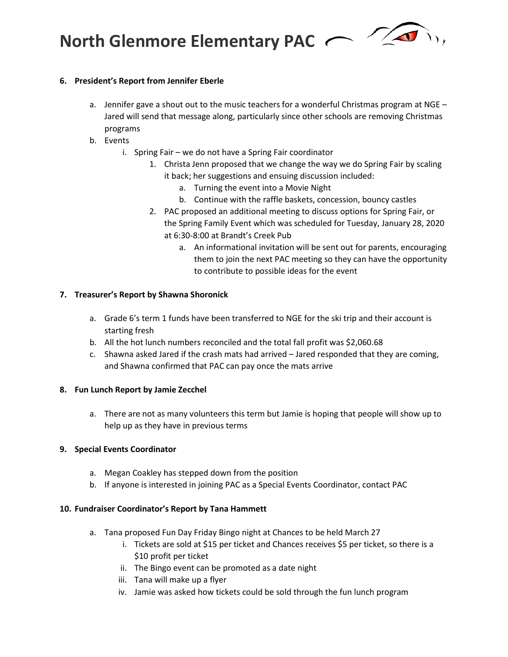**North Glenmore Elementary PAC** 



## **6. President's Report from Jennifer Eberle**

- a. Jennifer gave a shout out to the music teachers for a wonderful Christmas program at NGE -Jared will send that message along, particularly since other schools are removing Christmas programs
- b. Events
	- i. Spring Fair we do not have a Spring Fair coordinator
		- 1. Christa Jenn proposed that we change the way we do Spring Fair by scaling it back; her suggestions and ensuing discussion included:
			- a. Turning the event into a Movie Night
			- b. Continue with the raffle baskets, concession, bouncy castles
		- 2. PAC proposed an additional meeting to discuss options for Spring Fair, or the Spring Family Event which was scheduled for Tuesday, January 28, 2020 at 6:30-8:00 at Brandt's Creek Pub
			- a. An informational invitation will be sent out for parents, encouraging them to join the next PAC meeting so they can have the opportunity to contribute to possible ideas for the event

# **7. Treasurer's Report by Shawna Shoronick**

- a. Grade 6's term 1 funds have been transferred to NGE for the ski trip and their account is starting fresh
- b. All the hot lunch numbers reconciled and the total fall profit was \$2,060.68
- c. Shawna asked Jared if the crash mats had arrived Jared responded that they are coming, and Shawna confirmed that PAC can pay once the mats arrive

# **8. Fun Lunch Report by Jamie Zecchel**

a. There are not as many volunteers this term but Jamie is hoping that people will show up to help up as they have in previous terms

# **9. Special Events Coordinator**

- a. Megan Coakley has stepped down from the position
- b. If anyone is interested in joining PAC as a Special Events Coordinator, contact PAC

# **10. Fundraiser Coordinator's Report by Tana Hammett**

- a. Tana proposed Fun Day Friday Bingo night at Chances to be held March 27
	- i. Tickets are sold at \$15 per ticket and Chances receives \$5 per ticket, so there is a \$10 profit per ticket
	- ii. The Bingo event can be promoted as a date night
	- iii. Tana will make up a flyer
	- iv. Jamie was asked how tickets could be sold through the fun lunch program